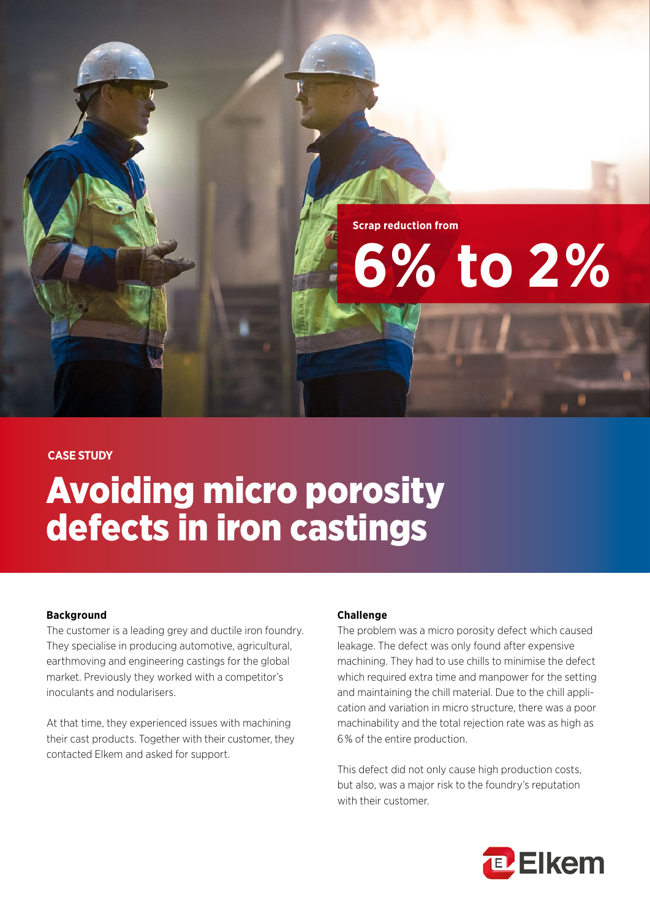**Scrap reduction from**

# **6% to 2%**

# **CASE STUDY**

# Avoiding micro porosity defects in iron castings

## **Background**

The customer is a leading grey and ductile iron foundry. They specialise in producing automotive, agricultural, earthmoving and engineering castings for the global market. Previously they worked with a competitor's inoculants and nodularisers.

At that time, they experienced issues with machining their cast products. Together with their customer, they contacted Elkem and asked for support.

## **Challenge**

The problem was a micro porosity defect which caused leakage. The defect was only found after expensive machining. They had to use chills to minimise the defect which required extra time and manpower for the setting and maintaining the chill material. Due to the chill application and variation in micro structure, there was a poor machinability and the total rejection rate was as high as 6 % of the entire production.

This defect did not only cause high production costs, but also, was a major risk to the foundry's reputation with their customer.